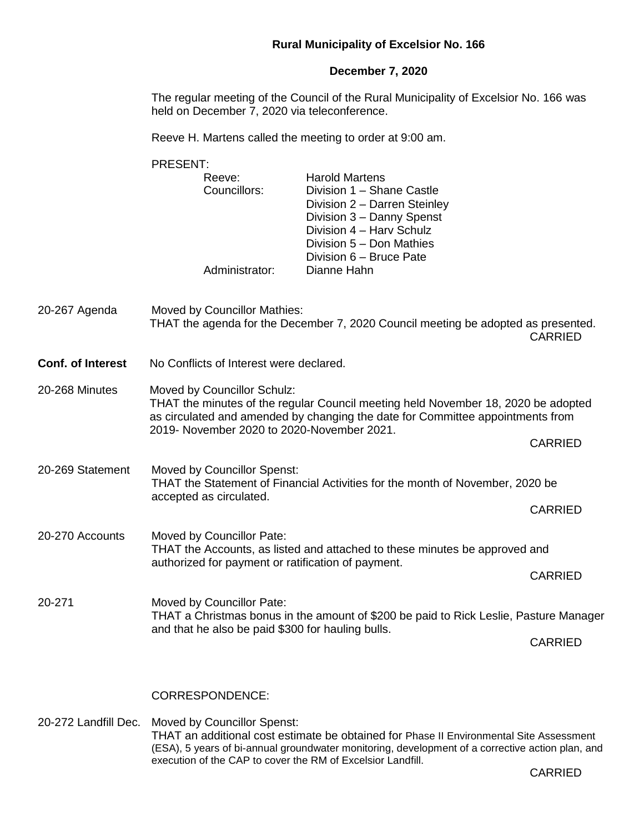## **Rural Municipality of Excelsior No. 166**

## **December 7, 2020**

The regular meeting of the Council of the Rural Municipality of Excelsior No. 166 was held on December 7, 2020 via teleconference.

Reeve H. Martens called the meeting to order at 9:00 am.

PRESENT: Reeve: Harold Martens Councillors: Division 1 – Shane Castle Division 2 – Darren Steinley Division 3 – Danny Spenst Division 4 – Harv Schulz Division 5 – Don Mathies Division 6 – Bruce Pate Administrator: Dianne Hahn 20-267 Agenda Moved by Councillor Mathies: THAT the agenda for the December 7, 2020 Council meeting be adopted as presented. CARRIED **Conf. of Interest** No Conflicts of Interest were declared. 20-268 Minutes Moved by Councillor Schulz: THAT the minutes of the regular Council meeting held November 18, 2020 be adopted as circulated and amended by changing the date for Committee appointments from 2019- November 2020 to 2020-November 2021. CARRIED 20-269 Statement Moved by Councillor Spenst: THAT the Statement of Financial Activities for the month of November, 2020 be accepted as circulated. CARRIED 20-270 Accounts Moved by Councillor Pate: THAT the Accounts, as listed and attached to these minutes be approved and authorized for payment or ratification of payment. CARRIED 20-271 Moved by Councillor Pate: THAT a Christmas bonus in the amount of \$200 be paid to Rick Leslie, Pasture Manager and that he also be paid \$300 for hauling bulls. CARRIED

## CORRESPONDENCE:

20-272 Landfill Dec. Moved by Councillor Spenst: THAT an additional cost estimate be obtained for Phase II Environmental Site Assessment (ESA), 5 years of bi-annual groundwater monitoring, development of a corrective action plan, and execution of the CAP to cover the RM of Excelsior Landfill.

CARRIED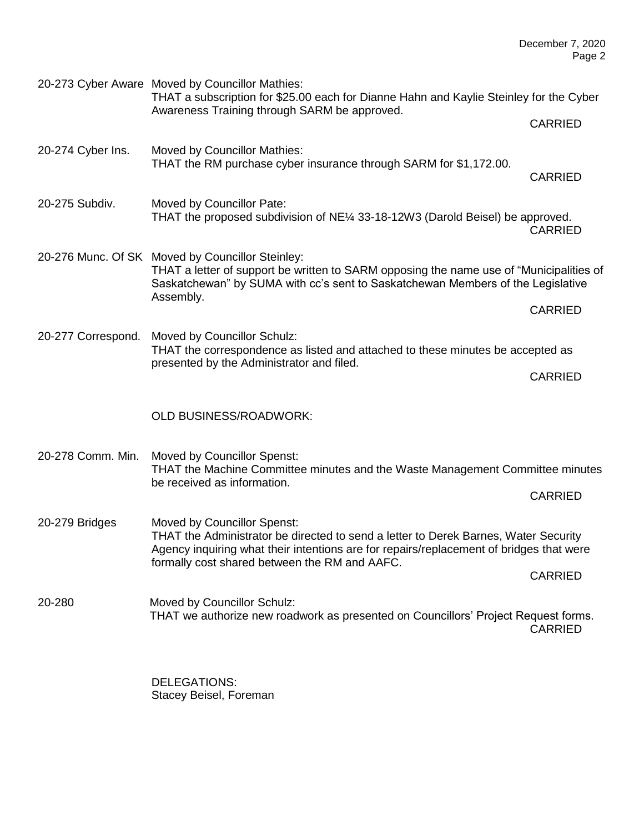|                    | 20-273 Cyber Aware Moved by Councillor Mathies:<br>THAT a subscription for \$25.00 each for Dianne Hahn and Kaylie Steinley for the Cyber<br>Awareness Training through SARM be approved.                                                                             |                |
|--------------------|-----------------------------------------------------------------------------------------------------------------------------------------------------------------------------------------------------------------------------------------------------------------------|----------------|
|                    |                                                                                                                                                                                                                                                                       | <b>CARRIED</b> |
| 20-274 Cyber Ins.  | Moved by Councillor Mathies:<br>THAT the RM purchase cyber insurance through SARM for \$1,172.00.                                                                                                                                                                     | <b>CARRIED</b> |
| 20-275 Subdiv.     | Moved by Councillor Pate:<br>THAT the proposed subdivision of NE1/4 33-18-12W3 (Darold Beisel) be approved.                                                                                                                                                           | <b>CARRIED</b> |
|                    | 20-276 Munc. Of SK Moved by Councillor Steinley:<br>THAT a letter of support be written to SARM opposing the name use of "Municipalities of<br>Saskatchewan" by SUMA with cc's sent to Saskatchewan Members of the Legislative<br>Assembly.                           |                |
|                    |                                                                                                                                                                                                                                                                       | <b>CARRIED</b> |
| 20-277 Correspond. | Moved by Councillor Schulz:<br>THAT the correspondence as listed and attached to these minutes be accepted as<br>presented by the Administrator and filed.                                                                                                            |                |
|                    |                                                                                                                                                                                                                                                                       | <b>CARRIED</b> |
|                    | OLD BUSINESS/ROADWORK:                                                                                                                                                                                                                                                |                |
| 20-278 Comm. Min.  | Moved by Councillor Spenst:<br>THAT the Machine Committee minutes and the Waste Management Committee minutes<br>be received as information.                                                                                                                           |                |
|                    |                                                                                                                                                                                                                                                                       | <b>CARRIED</b> |
| 20-279 Bridges     | <b>Moved by Councillor Spenst:</b><br>THAT the Administrator be directed to send a letter to Derek Barnes, Water Security<br>Agency inquiring what their intentions are for repairs/replacement of bridges that were<br>formally cost shared between the RM and AAFC. |                |
|                    |                                                                                                                                                                                                                                                                       | <b>CARRIED</b> |
| 20-280             | Moved by Councillor Schulz:<br>THAT we authorize new roadwork as presented on Councillors' Project Request forms.                                                                                                                                                     | <b>CARRIED</b> |

DELEGATIONS: Stacey Beisel, Foreman